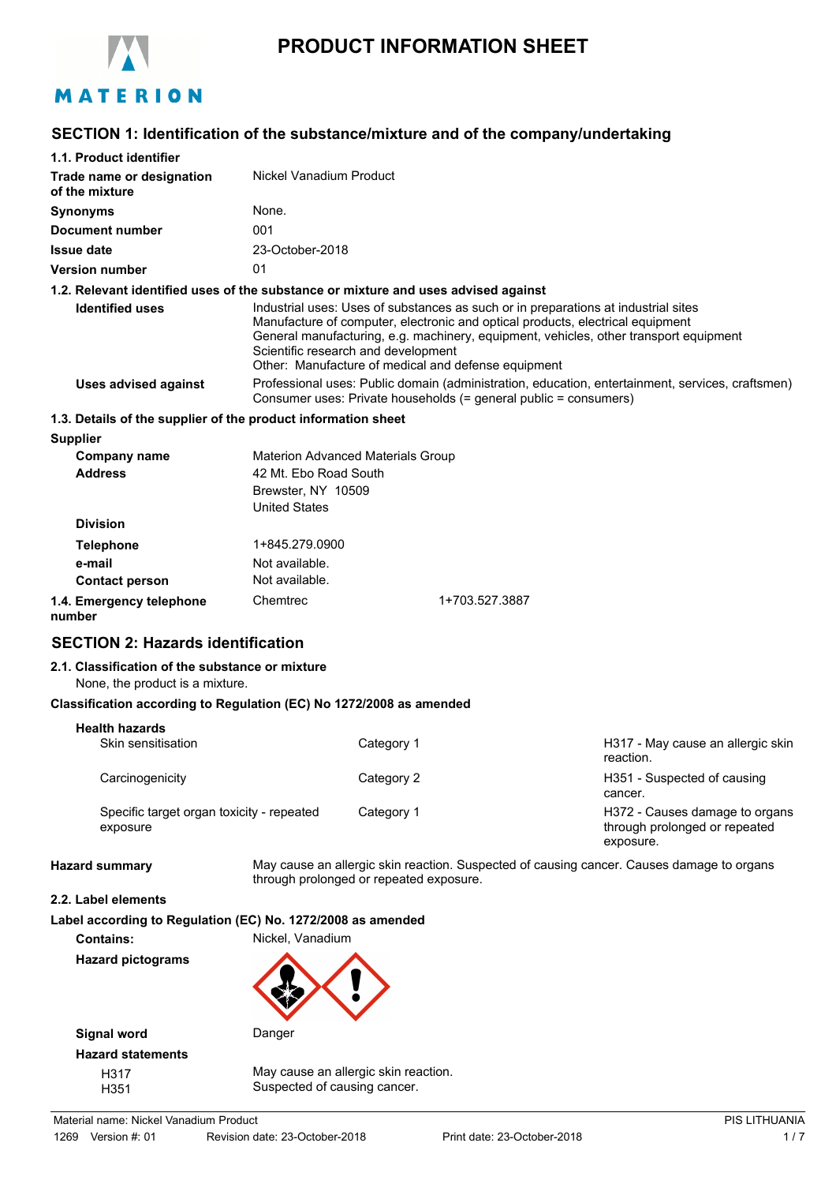

# **PRODUCT INFORMATION SHEET**

# **SECTION 1: Identification of the substance/mixture and of the company/undertaking**

| 1.1. Product identifier                                                            |                                                                                                                                                                      |            |                                                                                                                                                                                                                                                                                                                      |                                                                                           |
|------------------------------------------------------------------------------------|----------------------------------------------------------------------------------------------------------------------------------------------------------------------|------------|----------------------------------------------------------------------------------------------------------------------------------------------------------------------------------------------------------------------------------------------------------------------------------------------------------------------|-------------------------------------------------------------------------------------------|
| Trade name or designation<br>of the mixture                                        | Nickel Vanadium Product                                                                                                                                              |            |                                                                                                                                                                                                                                                                                                                      |                                                                                           |
| <b>Synonyms</b>                                                                    | None.                                                                                                                                                                |            |                                                                                                                                                                                                                                                                                                                      |                                                                                           |
| <b>Document number</b>                                                             | 001                                                                                                                                                                  |            |                                                                                                                                                                                                                                                                                                                      |                                                                                           |
| <b>Issue date</b>                                                                  | 23-October-2018                                                                                                                                                      |            |                                                                                                                                                                                                                                                                                                                      |                                                                                           |
| <b>Version number</b>                                                              | 01                                                                                                                                                                   |            |                                                                                                                                                                                                                                                                                                                      |                                                                                           |
| 1.2. Relevant identified uses of the substance or mixture and uses advised against |                                                                                                                                                                      |            |                                                                                                                                                                                                                                                                                                                      |                                                                                           |
| <b>Identified uses</b>                                                             | Scientific research and development                                                                                                                                  |            | Industrial uses: Uses of substances as such or in preparations at industrial sites<br>Manufacture of computer, electronic and optical products, electrical equipment<br>General manufacturing, e.g. machinery, equipment, vehicles, other transport equipment<br>Other: Manufacture of medical and defense equipment |                                                                                           |
| <b>Uses advised against</b>                                                        | Professional uses: Public domain (administration, education, entertainment, services, craftsmen)<br>Consumer uses: Private households (= general public = consumers) |            |                                                                                                                                                                                                                                                                                                                      |                                                                                           |
| 1.3. Details of the supplier of the product information sheet                      |                                                                                                                                                                      |            |                                                                                                                                                                                                                                                                                                                      |                                                                                           |
| <b>Supplier</b>                                                                    |                                                                                                                                                                      |            |                                                                                                                                                                                                                                                                                                                      |                                                                                           |
| <b>Company name</b><br><b>Address</b>                                              | <b>Materion Advanced Materials Group</b><br>42 Mt. Ebo Road South<br>Brewster, NY 10509<br><b>United States</b>                                                      |            |                                                                                                                                                                                                                                                                                                                      |                                                                                           |
| <b>Division</b>                                                                    |                                                                                                                                                                      |            |                                                                                                                                                                                                                                                                                                                      |                                                                                           |
| <b>Telephone</b>                                                                   | 1+845.279.0900                                                                                                                                                       |            |                                                                                                                                                                                                                                                                                                                      |                                                                                           |
| e-mail<br><b>Contact person</b>                                                    | Not available.<br>Not available.                                                                                                                                     |            |                                                                                                                                                                                                                                                                                                                      |                                                                                           |
| 1.4. Emergency telephone<br>number                                                 | Chemtrec                                                                                                                                                             |            | 1+703.527.3887                                                                                                                                                                                                                                                                                                       |                                                                                           |
| <b>SECTION 2: Hazards identification</b>                                           |                                                                                                                                                                      |            |                                                                                                                                                                                                                                                                                                                      |                                                                                           |
| 2.1. Classification of the substance or mixture<br>None, the product is a mixture. |                                                                                                                                                                      |            |                                                                                                                                                                                                                                                                                                                      |                                                                                           |
| Classification according to Regulation (EC) No 1272/2008 as amended                |                                                                                                                                                                      |            |                                                                                                                                                                                                                                                                                                                      |                                                                                           |
| <b>Health hazards</b>                                                              |                                                                                                                                                                      |            |                                                                                                                                                                                                                                                                                                                      |                                                                                           |
| Skin sensitisation                                                                 |                                                                                                                                                                      | Category 1 |                                                                                                                                                                                                                                                                                                                      | H317 - May cause an allergic skin<br>reaction.                                            |
| Carcinogenicity                                                                    |                                                                                                                                                                      | Category 2 |                                                                                                                                                                                                                                                                                                                      | H351 - Suspected of causing<br>cancer.                                                    |
| Specific target organ toxicity - repeated<br>exposure                              |                                                                                                                                                                      | Category 1 |                                                                                                                                                                                                                                                                                                                      | H372 - Causes damage to organs<br>through prolonged or repeated<br>exposure.              |
| <b>Hazard summary</b>                                                              | through prolonged or repeated exposure.                                                                                                                              |            |                                                                                                                                                                                                                                                                                                                      | May cause an allergic skin reaction. Suspected of causing cancer. Causes damage to organs |
| 2.2. Label elements                                                                |                                                                                                                                                                      |            |                                                                                                                                                                                                                                                                                                                      |                                                                                           |
| Label according to Regulation (EC) No. 1272/2008 as amended                        |                                                                                                                                                                      |            |                                                                                                                                                                                                                                                                                                                      |                                                                                           |
| <b>Contains:</b>                                                                   | Nickel, Vanadium                                                                                                                                                     |            |                                                                                                                                                                                                                                                                                                                      |                                                                                           |
| <b>Hazard pictograms</b>                                                           |                                                                                                                                                                      |            |                                                                                                                                                                                                                                                                                                                      |                                                                                           |

H317 May cause an allergic skin reaction. H351 Suspected of causing cancer.

Ŷ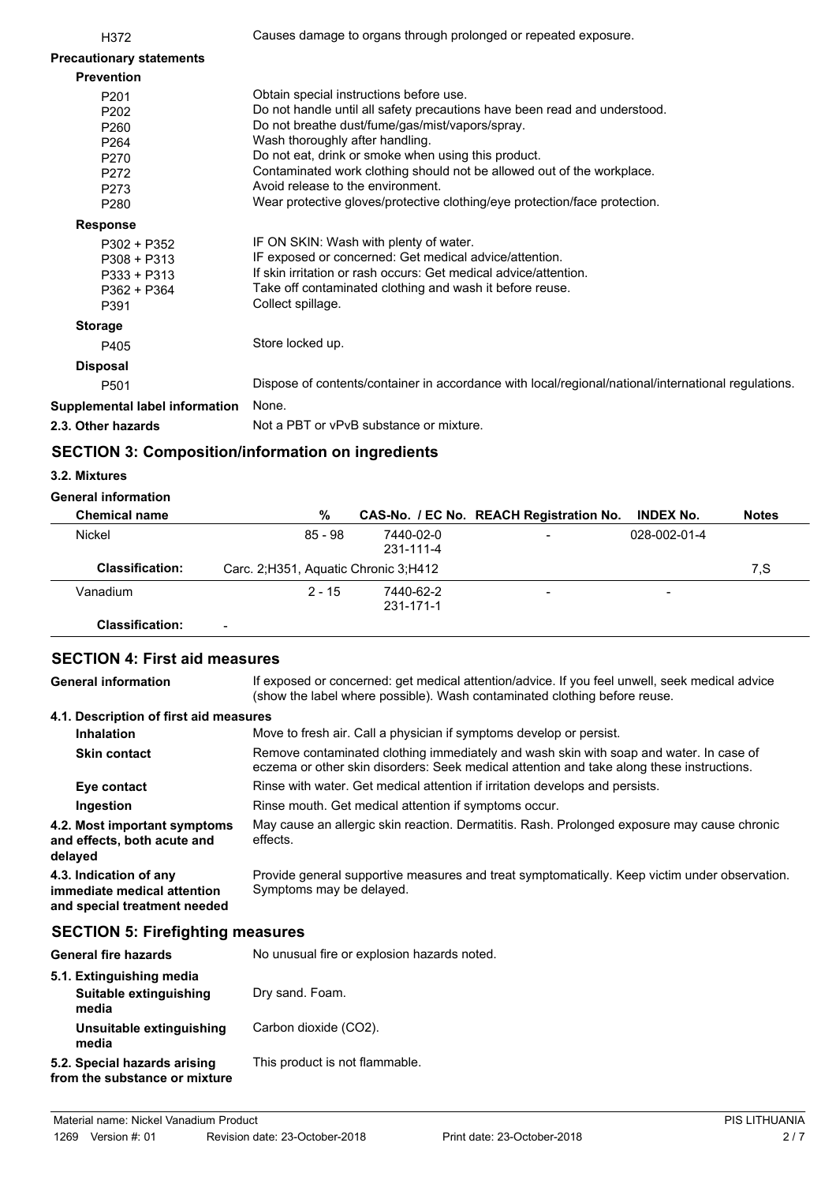| H372                            | Causes damage to organs through prolonged or repeated exposure.                                     |
|---------------------------------|-----------------------------------------------------------------------------------------------------|
| <b>Precautionary statements</b> |                                                                                                     |
| <b>Prevention</b>               |                                                                                                     |
| P201                            | Obtain special instructions before use.                                                             |
| P <sub>202</sub>                | Do not handle until all safety precautions have been read and understood.                           |
| P <sub>260</sub>                | Do not breathe dust/fume/gas/mist/vapors/spray.                                                     |
| P <sub>264</sub>                | Wash thoroughly after handling.                                                                     |
| P270                            | Do not eat, drink or smoke when using this product.                                                 |
| P272                            | Contaminated work clothing should not be allowed out of the workplace.                              |
| P273                            | Avoid release to the environment.                                                                   |
| P280                            | Wear protective gloves/protective clothing/eye protection/face protection.                          |
| <b>Response</b>                 |                                                                                                     |
| $P302 + P352$                   | IF ON SKIN: Wash with plenty of water.                                                              |
| $P308 + P313$                   | IF exposed or concerned: Get medical advice/attention.                                              |
| $P333 + P313$                   | If skin irritation or rash occurs: Get medical advice/attention.                                    |
| P362 + P364                     | Take off contaminated clothing and wash it before reuse.                                            |
| P391                            | Collect spillage.                                                                                   |
| <b>Storage</b>                  |                                                                                                     |
| P405                            | Store locked up.                                                                                    |
| <b>Disposal</b>                 |                                                                                                     |
| P <sub>501</sub>                | Dispose of contents/container in accordance with local/regional/national/international regulations. |
| Supplemental label information  | None.                                                                                               |
| 2.3. Other hazards              | Not a PBT or vPvB substance or mixture.                                                             |

# **SECTION 3: Composition/information on ingredients**

#### **3.2. Mixtures**

## **General information**

| <b>Chemical name</b>   | %                                      |                        | CAS-No. / EC No. REACH Registration No. | <b>INDEX No.</b>         | <b>Notes</b> |
|------------------------|----------------------------------------|------------------------|-----------------------------------------|--------------------------|--------------|
| Nickel                 | 85 - 98                                | 7440-02-0<br>231-111-4 | -                                       | 028-002-01-4             |              |
| <b>Classification:</b> | Carc. 2; H351, Aquatic Chronic 3; H412 |                        |                                         |                          | 7.S          |
| Vanadium               | $2 - 15$                               | 7440-62-2<br>231-171-1 | -                                       | $\overline{\phantom{0}}$ |              |
| Classification:        |                                        |                        |                                         |                          |              |

# **SECTION 4: First aid measures**

If exposed or concerned: get medical attention/advice. If you feel unwell, seek medical advice (show the label where possible). Wash contaminated clothing before reuse. **General information 4.1. Description of first aid measures Inhalation** Move to fresh air. Call a physician if symptoms develop or persist. Remove contaminated clothing immediately and wash skin with soap and water. In case of eczema or other skin disorders: Seek medical attention and take along these instructions. **Skin contact Eye contact** Rinse with water. Get medical attention if irritation develops and persists. **Ingestion** Rinse mouth. Get medical attention if symptoms occur. May cause an allergic skin reaction. Dermatitis. Rash. Prolonged exposure may cause chronic effects. **4.2. Most important symptoms and effects, both acute and delayed** Provide general supportive measures and treat symptomatically. Keep victim under observation. Symptoms may be delayed. **4.3. Indication of any immediate medical attention and special treatment needed**

# **SECTION 5: Firefighting measures**

| <b>General fire hazards</b>                                   | No unusual fire or explosion hazards noted. |
|---------------------------------------------------------------|---------------------------------------------|
| 5.1. Extinguishing media<br>Suitable extinguishing<br>media   | Dry sand. Foam.                             |
| Unsuitable extinguishing<br>media                             | Carbon dioxide (CO2).                       |
| 5.2. Special hazards arising<br>from the substance or mixture | This product is not flammable.              |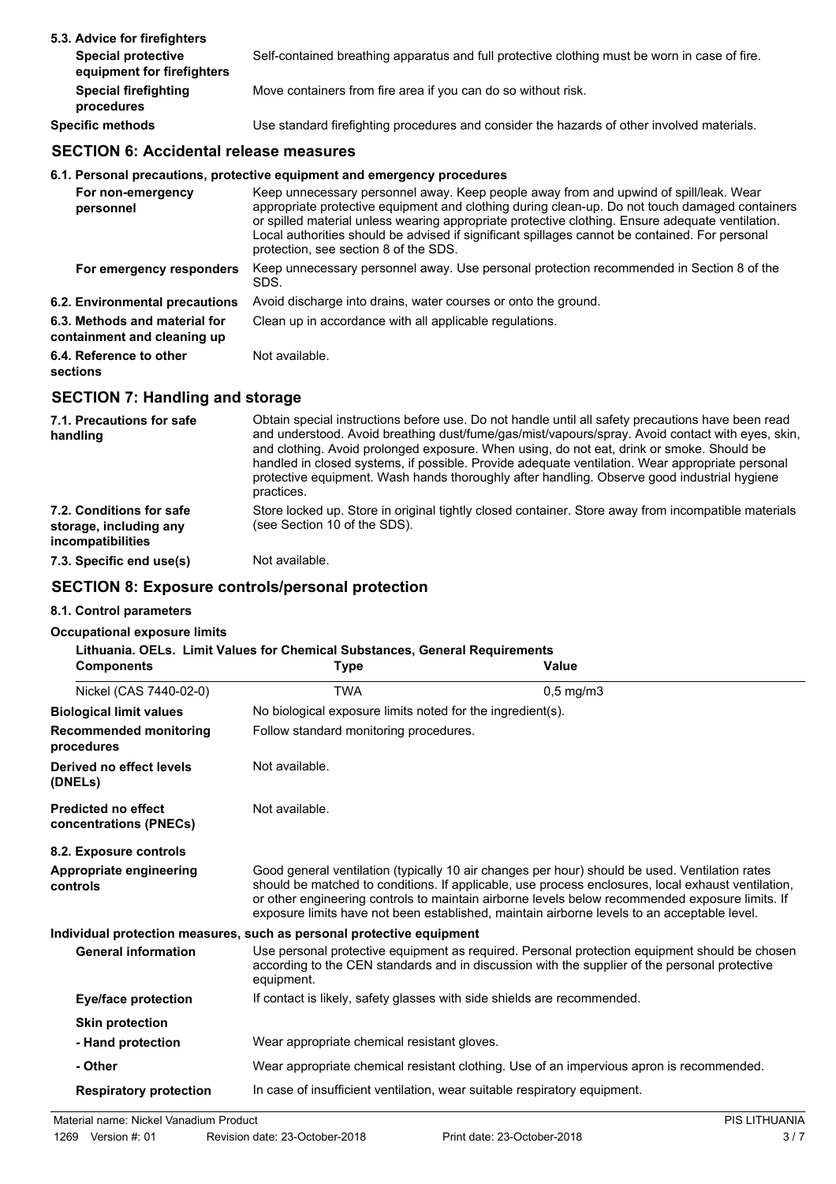| 5.3. Advice for firefighters                            |                                                                                               |
|---------------------------------------------------------|-----------------------------------------------------------------------------------------------|
| <b>Special protective</b><br>equipment for firefighters | Self-contained breathing apparatus and full protective clothing must be worn in case of fire. |
| <b>Special firefighting</b><br>procedures               | Move containers from fire area if you can do so without risk.                                 |
| <b>Specific methods</b>                                 | Use standard firefighting procedures and consider the hazards of other involved materials.    |

# **SECTION 6: Accidental release measures**

#### **6.1. Personal precautions, protective equipment and emergency procedures**

| For non-emergency<br>personnel                               | Keep unnecessary personnel away. Keep people away from and upwind of spill/leak. Wear<br>appropriate protective equipment and clothing during clean-up. Do not touch damaged containers<br>or spilled material unless wearing appropriate protective clothing. Ensure adequate ventilation.<br>Local authorities should be advised if significant spillages cannot be contained. For personal<br>protection, see section 8 of the SDS. |
|--------------------------------------------------------------|----------------------------------------------------------------------------------------------------------------------------------------------------------------------------------------------------------------------------------------------------------------------------------------------------------------------------------------------------------------------------------------------------------------------------------------|
| For emergency responders                                     | Keep unnecessary personnel away. Use personal protection recommended in Section 8 of the<br>SDS.                                                                                                                                                                                                                                                                                                                                       |
| 6.2. Environmental precautions                               | Avoid discharge into drains, water courses or onto the ground.                                                                                                                                                                                                                                                                                                                                                                         |
| 6.3. Methods and material for<br>containment and cleaning up | Clean up in accordance with all applicable regulations.                                                                                                                                                                                                                                                                                                                                                                                |
| 6.4. Reference to other<br>sections                          | Not available.                                                                                                                                                                                                                                                                                                                                                                                                                         |

# **SECTION 7: Handling and storage**

| 7.1. Precautions for safe<br>handling                                   | Obtain special instructions before use. Do not handle until all safety precautions have been read<br>and understood. Avoid breathing dust/fume/gas/mist/vapours/spray. Avoid contact with eyes, skin,<br>and clothing. Avoid prolonged exposure. When using, do not eat, drink or smoke. Should be<br>handled in closed systems, if possible. Provide adequate ventilation. Wear appropriate personal<br>protective equipment. Wash hands thoroughly after handling. Observe good industrial hygiene<br>practices. |
|-------------------------------------------------------------------------|--------------------------------------------------------------------------------------------------------------------------------------------------------------------------------------------------------------------------------------------------------------------------------------------------------------------------------------------------------------------------------------------------------------------------------------------------------------------------------------------------------------------|
| 7.2. Conditions for safe<br>storage, including any<br>incompatibilities | Store locked up. Store in original tightly closed container. Store away from incompatible materials<br>(see Section 10 of the SDS).                                                                                                                                                                                                                                                                                                                                                                                |
| 7.3. Specific end use(s)                                                | Not available.                                                                                                                                                                                                                                                                                                                                                                                                                                                                                                     |

# **SECTION 8: Exposure controls/personal protection**

#### **8.1. Control parameters**

#### **Occupational exposure limits**

## **Lithuania. OELs. Limit Values for Chemical Substances, General Requirements**

| <b>Components</b>                                    | <b>Type</b>                                                           | Value                                                                                                                                                                                                                                                                                                                                                                                                  |
|------------------------------------------------------|-----------------------------------------------------------------------|--------------------------------------------------------------------------------------------------------------------------------------------------------------------------------------------------------------------------------------------------------------------------------------------------------------------------------------------------------------------------------------------------------|
| Nickel (CAS 7440-02-0)                               | <b>TWA</b>                                                            | $0,5$ mg/m $3$                                                                                                                                                                                                                                                                                                                                                                                         |
| <b>Biological limit values</b>                       | No biological exposure limits noted for the ingredient(s).            |                                                                                                                                                                                                                                                                                                                                                                                                        |
| <b>Recommended monitoring</b><br>procedures          | Follow standard monitoring procedures.                                |                                                                                                                                                                                                                                                                                                                                                                                                        |
| Derived no effect levels<br>(DNELs)                  | Not available.                                                        |                                                                                                                                                                                                                                                                                                                                                                                                        |
| <b>Predicted no effect</b><br>concentrations (PNECs) | Not available.                                                        |                                                                                                                                                                                                                                                                                                                                                                                                        |
| 8.2. Exposure controls                               |                                                                       |                                                                                                                                                                                                                                                                                                                                                                                                        |
| Appropriate engineering<br>controls                  |                                                                       | Good general ventilation (typically 10 air changes per hour) should be used. Ventilation rates<br>should be matched to conditions. If applicable, use process enclosures, local exhaust ventilation,<br>or other engineering controls to maintain airborne levels below recommended exposure limits. If<br>exposure limits have not been established, maintain airborne levels to an acceptable level. |
|                                                      | Individual protection measures, such as personal protective equipment |                                                                                                                                                                                                                                                                                                                                                                                                        |
| <b>General information</b>                           | equipment.                                                            | Use personal protective equipment as required. Personal protection equipment should be chosen<br>according to the CEN standards and in discussion with the supplier of the personal protective                                                                                                                                                                                                         |
| <b>Eye/face protection</b>                           |                                                                       | If contact is likely, safety glasses with side shields are recommended.                                                                                                                                                                                                                                                                                                                                |
| <b>Skin protection</b>                               |                                                                       |                                                                                                                                                                                                                                                                                                                                                                                                        |
| - Hand protection                                    | Wear appropriate chemical resistant gloves.                           |                                                                                                                                                                                                                                                                                                                                                                                                        |
| - Other                                              |                                                                       | Wear appropriate chemical resistant clothing. Use of an impervious apron is recommended.                                                                                                                                                                                                                                                                                                               |
| <b>Respiratory protection</b>                        |                                                                       | In case of insufficient ventilation, wear suitable respiratory equipment.                                                                                                                                                                                                                                                                                                                              |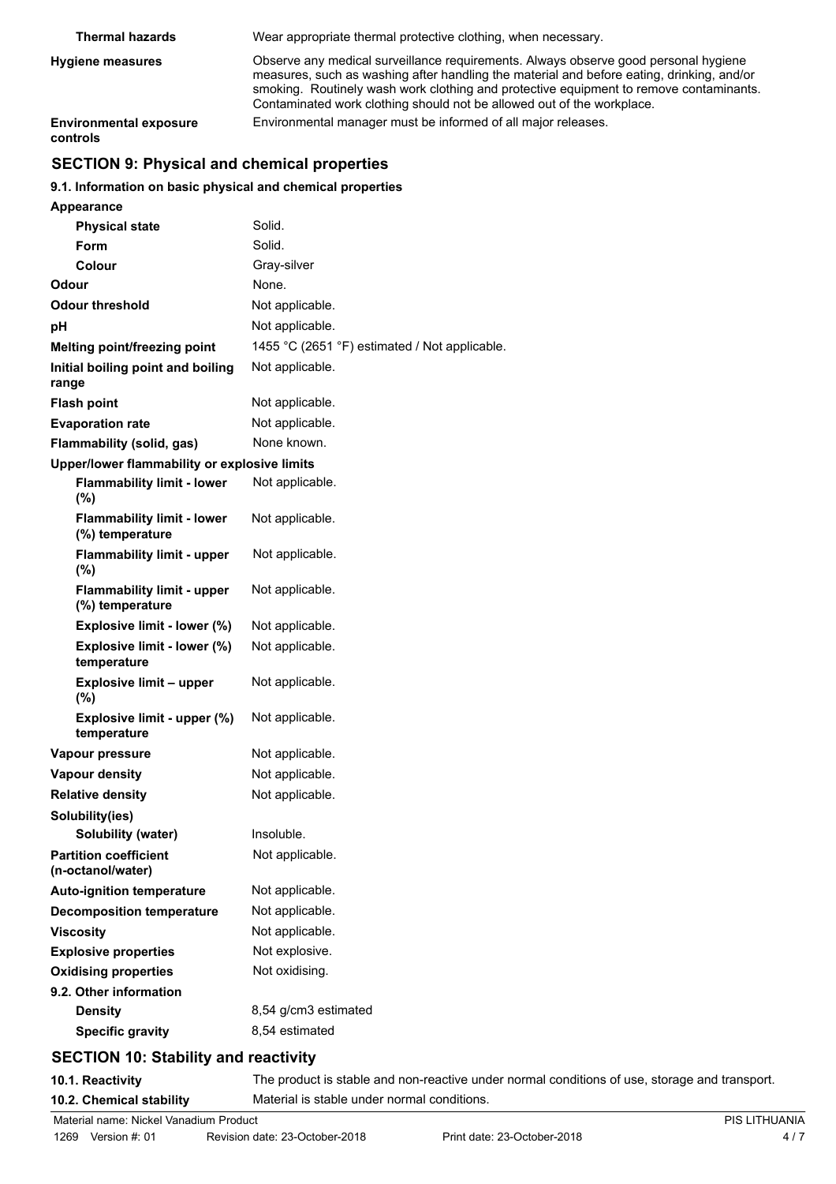| <b>Thermal hazards</b>                    | Wear appropriate thermal protective clothing, when necessary.                                                                                                                                                                                                                                                                                        |
|-------------------------------------------|------------------------------------------------------------------------------------------------------------------------------------------------------------------------------------------------------------------------------------------------------------------------------------------------------------------------------------------------------|
| <b>Hygiene measures</b>                   | Observe any medical surveillance requirements. Always observe good personal hygiene<br>measures, such as washing after handling the material and before eating, drinking, and/or<br>smoking. Routinely wash work clothing and protective equipment to remove contaminants.<br>Contaminated work clothing should not be allowed out of the workplace. |
| <b>Environmental exposure</b><br>controls | Environmental manager must be informed of all major releases.                                                                                                                                                                                                                                                                                        |

# **SECTION 9: Physical and chemical properties**

## **9.1. Information on basic physical and chemical properties**

| <b>Appearance</b>                                    |                                               |
|------------------------------------------------------|-----------------------------------------------|
| <b>Physical state</b>                                | Solid.                                        |
| Form                                                 | Solid.                                        |
| Colour                                               | Gray-silver                                   |
| Odour                                                | None.                                         |
| Odour threshold                                      | Not applicable.                               |
| рH                                                   | Not applicable.                               |
| Melting point/freezing point                         | 1455 °C (2651 °F) estimated / Not applicable. |
| Initial boiling point and boiling<br>range           | Not applicable.                               |
| <b>Flash point</b>                                   | Not applicable.                               |
| <b>Evaporation rate</b>                              | Not applicable.                               |
| Flammability (solid, gas)                            | None known.                                   |
| Upper/lower flammability or explosive limits         |                                               |
| <b>Flammability limit - lower</b><br>(%)             | Not applicable.                               |
| <b>Flammability limit - lower</b><br>(%) temperature | Not applicable.                               |
| <b>Flammability limit - upper</b><br>(%)             | Not applicable.                               |
| <b>Flammability limit - upper</b><br>(%) temperature | Not applicable.                               |
| Explosive limit - lower (%)                          | Not applicable.                               |
| Explosive limit - lower (%)<br>temperature           | Not applicable.                               |
| <b>Explosive limit - upper</b><br>$(\%)$             | Not applicable.                               |
| Explosive limit - upper (%)<br>temperature           | Not applicable.                               |
| Vapour pressure                                      | Not applicable.                               |
| <b>Vapour density</b>                                | Not applicable.                               |
| <b>Relative density</b>                              | Not applicable.                               |
| Solubility(ies)                                      |                                               |
| <b>Solubility (water)</b>                            | Insoluble.                                    |
| <b>Partition coefficient</b><br>(n-octanol/water)    | Not applicable.                               |
| <b>Auto-ignition temperature</b>                     | Not applicable.                               |
| <b>Decomposition temperature</b>                     | Not applicable.                               |
| <b>Viscosity</b>                                     | Not applicable.                               |
| <b>Explosive properties</b>                          | Not explosive.                                |
| <b>Oxidising properties</b>                          | Not oxidising.                                |
| 9.2. Other information                               |                                               |
| <b>Density</b>                                       | 8,54 g/cm3 estimated                          |
| <b>Specific gravity</b>                              | 8,54 estimated                                |

# **SECTION 10: Stability and reactivity**

**10.1. Reactivity** The product is stable and non-reactive under normal conditions of use, storage and transport. **10.2. Chemical stability** Material is stable under normal conditions.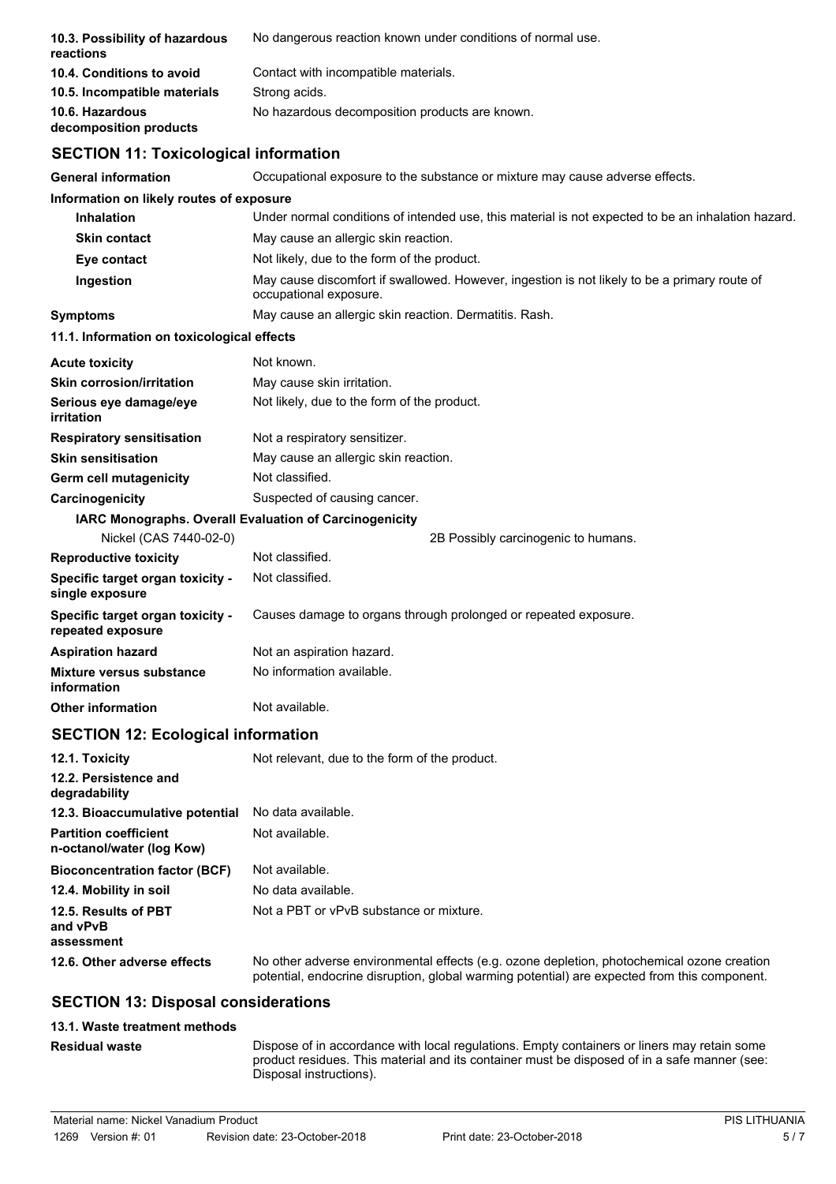| 10.3. Possibility of hazardous<br>reactions                  | No dangerous reaction known under conditions of normal use.                                                            |
|--------------------------------------------------------------|------------------------------------------------------------------------------------------------------------------------|
| 10.4. Conditions to avoid                                    | Contact with incompatible materials.                                                                                   |
| 10.5. Incompatible materials                                 | Strong acids.                                                                                                          |
| 10.6. Hazardous<br>decomposition products                    | No hazardous decomposition products are known.                                                                         |
| <b>SECTION 11: Toxicological information</b>                 |                                                                                                                        |
| General information                                          | Occupational exposure to the substance or mixture may cause adverse effects.                                           |
| Information on likely routes of exposure                     |                                                                                                                        |
| <b>Inhalation</b>                                            | Under normal conditions of intended use, this material is not expected to be an inhalation hazard.                     |
| <b>Skin contact</b>                                          | May cause an allergic skin reaction.                                                                                   |
| Eye contact                                                  | Not likely, due to the form of the product.                                                                            |
| Ingestion                                                    | May cause discomfort if swallowed. However, ingestion is not likely to be a primary route of<br>occupational exposure. |
| <b>Symptoms</b>                                              | May cause an allergic skin reaction. Dermatitis. Rash.                                                                 |
| 11.1. Information on toxicological effects                   |                                                                                                                        |
| Acute toxicity                                               | Not known.                                                                                                             |
| <b>Skin corrosion/irritation</b>                             | May cause skin irritation.                                                                                             |
| Serious eye damage/eye<br>irritation                         | Not likely, due to the form of the product.                                                                            |
| <b>Respiratory sensitisation</b>                             | Not a respiratory sensitizer.                                                                                          |
| <b>Skin sensitisation</b>                                    | May cause an allergic skin reaction.                                                                                   |
| Germ cell mutagenicity                                       | Not classified.                                                                                                        |
| <b>Carcinogenicity</b>                                       | Suspected of causing cancer.                                                                                           |
|                                                              | IARC Monographs. Overall Evaluation of Carcinogenicity                                                                 |
| Nickel (CAS 7440-02-0)                                       | 2B Possibly carcinogenic to humans.                                                                                    |
| <b>Reproductive toxicity</b>                                 | Not classified.                                                                                                        |
| Specific target organ toxicity -<br>single exposure          | Not classified.                                                                                                        |
| <b>Specific target organ toxicity -</b><br>repeated exposure | Causes damage to organs through prolonged or repeated exposure.                                                        |
| Aspiration hazard                                            | Not an aspiration hazard.                                                                                              |
| Mixture versus substance<br>information                      | No information available.                                                                                              |
| <b>Other information</b>                                     | Not available.                                                                                                         |
| <b>SECTION 12: Ecological information</b>                    |                                                                                                                        |
| 12.1. Toxicity                                               | Not relevant, due to the form of the product.                                                                          |
| 12.2. Persistence and<br>degradability                       |                                                                                                                        |
| 12.3. Bioaccumulative potential                              | No data available.                                                                                                     |
| <b>Partition coefficient</b><br>n-octanol/water (log Kow)    | Not available.                                                                                                         |
| <b>Bioconcentration factor (BCF)</b>                         | Not available.                                                                                                         |
| 12.4. Mobility in soil                                       | No data available.                                                                                                     |
| 12.5. Results of PBT<br>and vPvB                             | Not a PBT or vPvB substance or mixture.                                                                                |
| assessment<br>12.6. Other adverse effects                    | No other adverse environmental effects (e.g. ozone depletion, photochemical ozone creation                             |
|                                                              | potential, endocrine disruption, global warming potential) are expected from this component.                           |
| <b>SECTION 13: Disposal considerations</b>                   |                                                                                                                        |
| 40.4 Mante transmant mathanin                                |                                                                                                                        |

## **13.1. Waste treatment methods**

**Residual waste**

Dispose of in accordance with local regulations. Empty containers or liners may retain some product residues. This material and its container must be disposed of in a safe manner (see: Disposal instructions).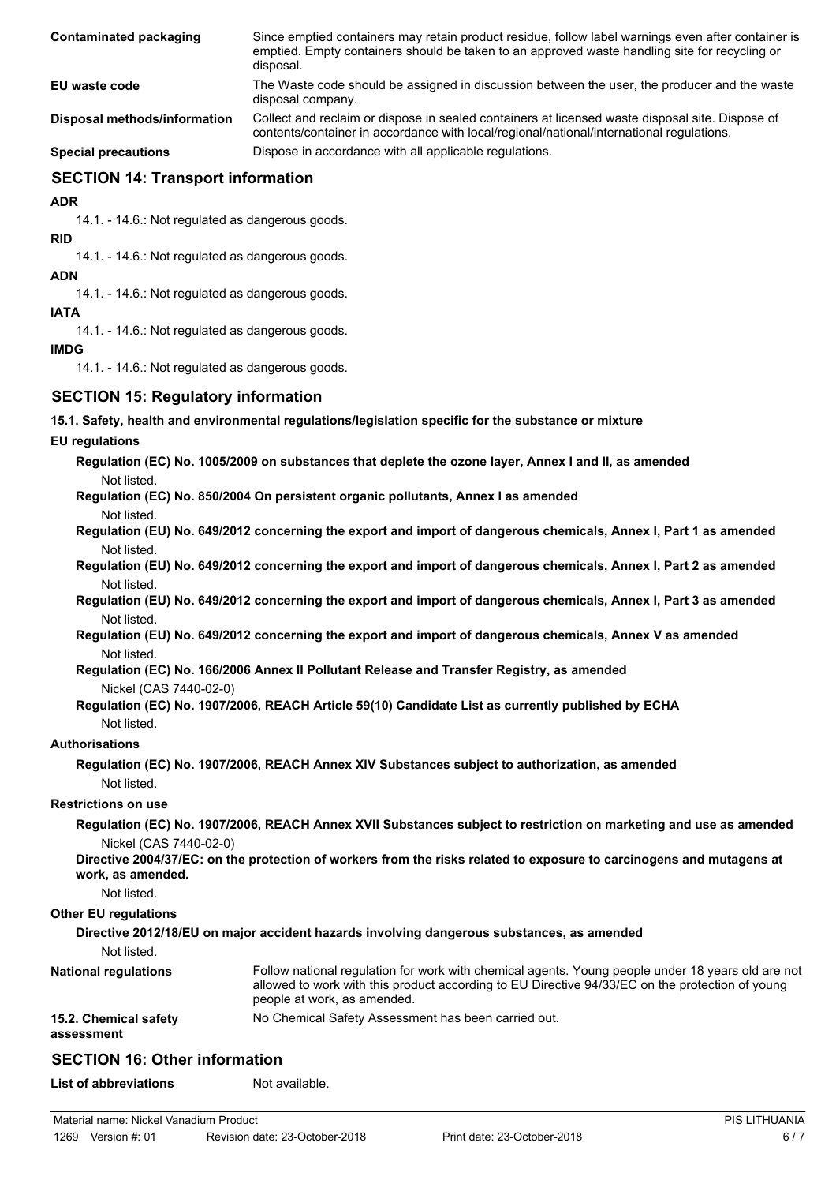| Contaminated packaging       | Since emptied containers may retain product residue, follow label warnings even after container is<br>emptied. Empty containers should be taken to an approved waste handling site for recycling or<br>disposal. |
|------------------------------|------------------------------------------------------------------------------------------------------------------------------------------------------------------------------------------------------------------|
| EU waste code                | The Waste code should be assigned in discussion between the user, the producer and the waste<br>disposal company.                                                                                                |
| Disposal methods/information | Collect and reclaim or dispose in sealed containers at licensed waste disposal site. Dispose of<br>contents/container in accordance with local/regional/national/international regulations.                      |
| <b>Special precautions</b>   | Dispose in accordance with all applicable regulations.                                                                                                                                                           |

# **SECTION 14: Transport information**

**ADR**

14.1. - 14.6.: Not regulated as dangerous goods.

**RID**

14.1. - 14.6.: Not regulated as dangerous goods.

**ADN**

14.1. - 14.6.: Not regulated as dangerous goods.

**IATA**

14.1. - 14.6.: Not regulated as dangerous goods.

## **IMDG**

14.1. - 14.6.: Not regulated as dangerous goods.

# **SECTION 15: Regulatory information**

**15.1. Safety, health and environmental regulations/legislation specific for the substance or mixture**

## **EU regulations**

**Regulation (EC) No. 1005/2009 on substances that deplete the ozone layer, Annex I and II, as amended** Not listed.

**Regulation (EC) No. 850/2004 On persistent organic pollutants, Annex I as amended**

- Not listed.
- **Regulation (EU) No. 649/2012 concerning the export and import of dangerous chemicals, Annex I, Part 1 as amended** Not listed.
- **Regulation (EU) No. 649/2012 concerning the export and import of dangerous chemicals, Annex I, Part 2 as amended** Not listed.
- **Regulation (EU) No. 649/2012 concerning the export and import of dangerous chemicals, Annex I, Part 3 as amended** Not listed.

**Regulation (EU) No. 649/2012 concerning the export and import of dangerous chemicals, Annex V as amended** Not listed.

**Regulation (EC) No. 166/2006 Annex II Pollutant Release and Transfer Registry, as amended**

Nickel (CAS 7440-02-0)

#### **Regulation (EC) No. 1907/2006, REACH Article 59(10) Candidate List as currently published by ECHA** Not listed.

# **Authorisations**

**Regulation (EC) No. 1907/2006, REACH Annex XIV Substances subject to authorization, as amended** Not listed.

## **Restrictions on use**

**Regulation (EC) No. 1907/2006, REACH Annex XVII Substances subject to restriction on marketing and use as amended** Nickel (CAS 7440-02-0)

**Directive 2004/37/EC: on the protection of workers from the risks related to exposure to carcinogens and mutagens at work, as amended.**

Not listed.

#### **Other EU regulations**

## **Directive 2012/18/EU on major accident hazards involving dangerous substances, as amended**

Not listed.

| <b>National regulations</b>         | Follow national regulation for work with chemical agents. Young people under 18 years old are not<br>allowed to work with this product according to EU Directive 94/33/EC on the protection of young<br>people at work, as amended. |
|-------------------------------------|-------------------------------------------------------------------------------------------------------------------------------------------------------------------------------------------------------------------------------------|
| 15.2. Chemical safety<br>assessment | No Chemical Safety Assessment has been carried out.                                                                                                                                                                                 |

# **SECTION 16: Other information**

**List of abbreviations** Not available.